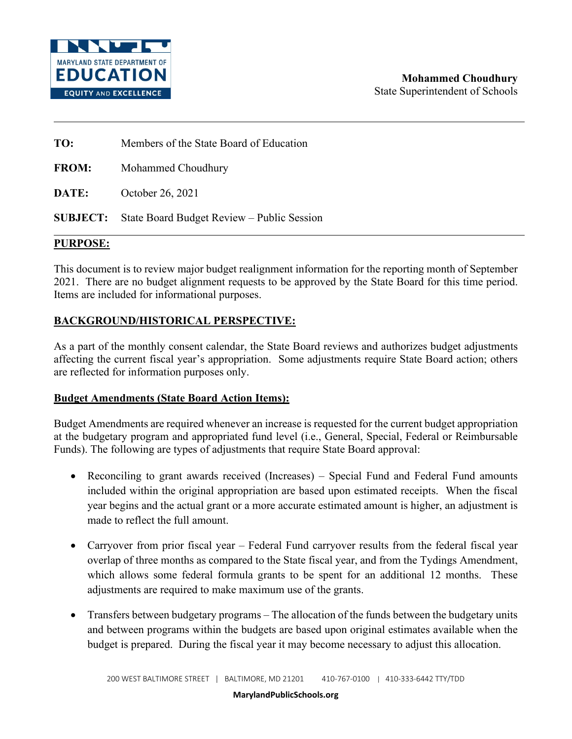

**TO:** Members of the State Board of Education

**FROM:** Mohammed Choudhury

**DATE:** October 26, 2021

**SUBJECT:** State Board Budget Review – Public Session

## **PURPOSE:**

This document is to review major budget realignment information for the reporting month of September 2021. There are no budget alignment requests to be approved by the State Board for this time period. Items are included for informational purposes.

# **BACKGROUND/HISTORICAL PERSPECTIVE:**

As a part of the monthly consent calendar, the State Board reviews and authorizes budget adjustments affecting the current fiscal year's appropriation. Some adjustments require State Board action; others are reflected for information purposes only.

## **Budget Amendments (State Board Action Items):**

Budget Amendments are required whenever an increase is requested for the current budget appropriation at the budgetary program and appropriated fund level (i.e., General, Special, Federal or Reimbursable Funds). The following are types of adjustments that require State Board approval:

- Reconciling to grant awards received (Increases) Special Fund and Federal Fund amounts included within the original appropriation are based upon estimated receipts. When the fiscal year begins and the actual grant or a more accurate estimated amount is higher, an adjustment is made to reflect the full amount.
- Carryover from prior fiscal year Federal Fund carryover results from the federal fiscal year overlap of three months as compared to the State fiscal year, and from the Tydings Amendment, which allows some federal formula grants to be spent for an additional 12 months. These adjustments are required to make maximum use of the grants.
- Transfers between budgetary programs The allocation of the funds between the budgetary units and between programs within the budgets are based upon original estimates available when the budget is prepared. During the fiscal year it may become necessary to adjust this allocation.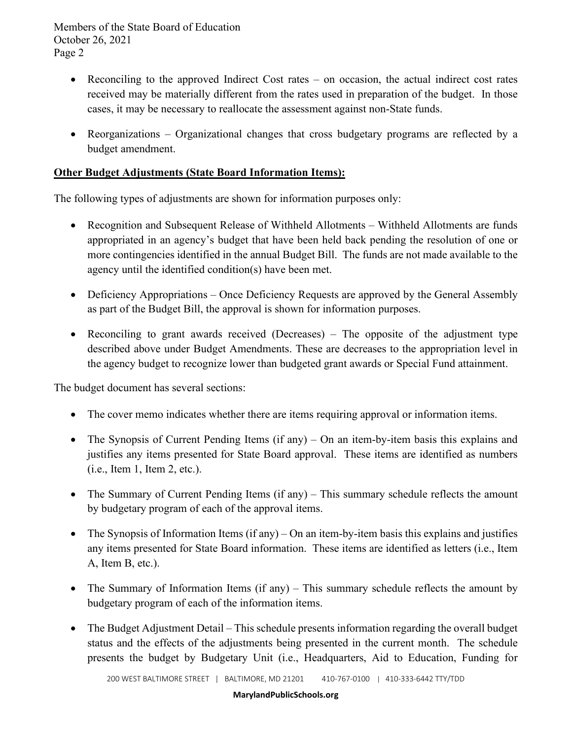Members of the State Board of Education October 26, 2021 Page 2

- Reconciling to the approved Indirect Cost rates on occasion, the actual indirect cost rates received may be materially different from the rates used in preparation of the budget. In those cases, it may be necessary to reallocate the assessment against non-State funds.
- Reorganizations Organizational changes that cross budgetary programs are reflected by a budget amendment.

# **Other Budget Adjustments (State Board Information Items):**

The following types of adjustments are shown for information purposes only:

- Recognition and Subsequent Release of Withheld Allotments Withheld Allotments are funds appropriated in an agency's budget that have been held back pending the resolution of one or more contingencies identified in the annual Budget Bill. The funds are not made available to the agency until the identified condition(s) have been met.
- Deficiency Appropriations Once Deficiency Requests are approved by the General Assembly as part of the Budget Bill, the approval is shown for information purposes.
- Reconciling to grant awards received (Decreases) The opposite of the adjustment type described above under Budget Amendments. These are decreases to the appropriation level in the agency budget to recognize lower than budgeted grant awards or Special Fund attainment.

The budget document has several sections:

- The cover memo indicates whether there are items requiring approval or information items.
- The Synopsis of Current Pending Items (if any) On an item-by-item basis this explains and justifies any items presented for State Board approval. These items are identified as numbers (i.e., Item 1, Item 2, etc.).
- The Summary of Current Pending Items (if any) This summary schedule reflects the amount by budgetary program of each of the approval items.
- The Synopsis of Information Items (if any) On an item-by-item basis this explains and justifies any items presented for State Board information. These items are identified as letters (i.e., Item A, Item B, etc.).
- The Summary of Information Items (if any) This summary schedule reflects the amount by budgetary program of each of the information items.
- The Budget Adjustment Detail This schedule presents information regarding the overall budget status and the effects of the adjustments being presented in the current month. The schedule presents the budget by Budgetary Unit (i.e., Headquarters, Aid to Education, Funding for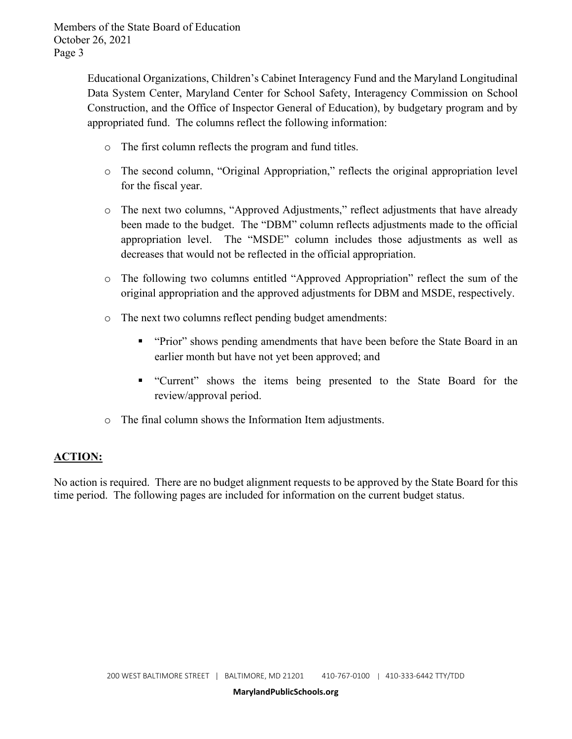Members of the State Board of Education October 26, 2021 Page 3

> Educational Organizations, Children's Cabinet Interagency Fund and the Maryland Longitudinal Data System Center, Maryland Center for School Safety, Interagency Commission on School Construction, and the Office of Inspector General of Education), by budgetary program and by appropriated fund. The columns reflect the following information:

- o The first column reflects the program and fund titles.
- o The second column, "Original Appropriation," reflects the original appropriation level for the fiscal year.
- o The next two columns, "Approved Adjustments," reflect adjustments that have already been made to the budget. The "DBM" column reflects adjustments made to the official appropriation level. The "MSDE" column includes those adjustments as well as decreases that would not be reflected in the official appropriation.
- o The following two columns entitled "Approved Appropriation" reflect the sum of the original appropriation and the approved adjustments for DBM and MSDE, respectively.
- o The next two columns reflect pending budget amendments:
	- " "Prior" shows pending amendments that have been before the State Board in an earlier month but have not yet been approved; and
	- "Current" shows the items being presented to the State Board for the review/approval period.
- o The final column shows the Information Item adjustments.

# **ACTION:**

No action is required. There are no budget alignment requests to be approved by the State Board for this time period. The following pages are included for information on the current budget status.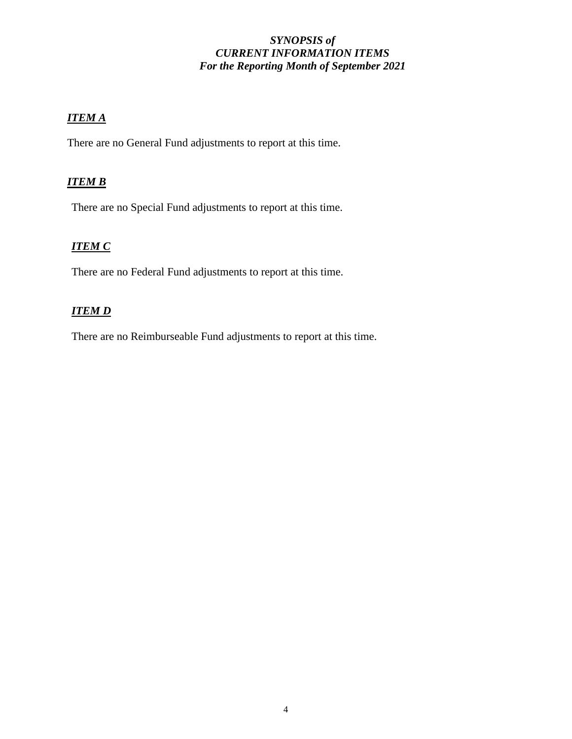# *SYNOPSIS of CURRENT INFORMATION ITEMS For the Reporting Month of September 2021*

# *ITEM A*

There are no General Fund adjustments to report at this time.

# *ITEM B*

There are no Special Fund adjustments to report at this time.

# *ITEM C*

There are no Federal Fund adjustments to report at this time.

# *ITEM D*

There are no Reimburseable Fund adjustments to report at this time.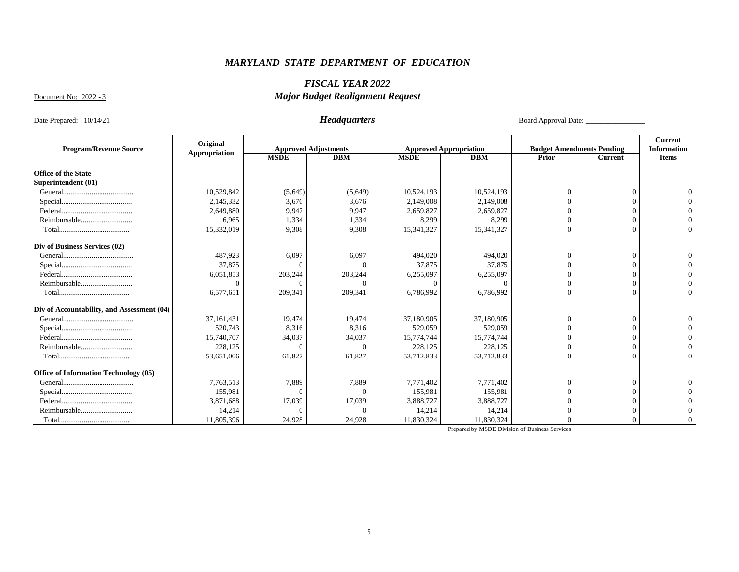# *FISCAL YEAR 2022*

Document No: 2022 - 3

# *Major Budget Realignment Request*

Date Prepared: 10/14/21 *Headquarters* Board Approval Date: \_\_\_\_\_\_\_\_\_\_\_\_\_\_\_\_

|                                            | Original      |             |                             |             |                               |          |                                  | <b>Current</b>     |
|--------------------------------------------|---------------|-------------|-----------------------------|-------------|-------------------------------|----------|----------------------------------|--------------------|
| <b>Program/Revenue Source</b>              | Appropriation |             | <b>Approved Adjustments</b> |             | <b>Approved Appropriation</b> |          | <b>Budget Amendments Pending</b> | <b>Information</b> |
|                                            |               | <b>MSDE</b> | <b>DBM</b>                  | <b>MSDE</b> | <b>DBM</b>                    | Prior    | <b>Current</b>                   | <b>Items</b>       |
| <b>Office of the State</b>                 |               |             |                             |             |                               |          |                                  |                    |
| Superintendent (01)                        |               |             |                             |             |                               |          |                                  |                    |
|                                            |               |             |                             |             |                               |          |                                  |                    |
|                                            | 10,529,842    | (5,649)     | (5,649)                     | 10,524,193  | 10,524,193                    |          | $\Omega$                         |                    |
|                                            | 2,145,332     | 3,676       | 3,676                       | 2,149,008   | 2,149,008                     |          |                                  |                    |
|                                            | 2,649,880     | 9,947       | 9,947                       | 2,659,827   | 2,659,827                     |          |                                  |                    |
| Reimbursable                               | 6.965         | 1.334       | 1,334                       | 8,299       | 8,299                         |          |                                  |                    |
|                                            | 15,332,019    | 9,308       | 9,308                       | 15,341,327  | 15,341,327                    |          | $\Omega$                         |                    |
| Div of Business Services (02)              |               |             |                             |             |                               |          |                                  |                    |
|                                            | 487,923       | 6,097       | 6,097                       | 494,020     | 494,020                       | $\Omega$ | $\Omega$                         |                    |
|                                            | 37,875        | $\Omega$    | $\Omega$                    | 37,875      | 37,875                        |          |                                  |                    |
|                                            | 6,051,853     | 203,244     | 203,244                     | 6,255,097   | 6,255,097                     |          |                                  |                    |
| Reimbursable                               | 0             | $\Omega$    | $\Omega$                    | $\Omega$    | $\Omega$                      |          |                                  |                    |
|                                            | 6,577,651     | 209,341     | 209,341                     | 6,786,992   | 6,786,992                     | $\Omega$ | $\Omega$                         |                    |
| Div of Accountability, and Assessment (04) |               |             |                             |             |                               |          |                                  |                    |
|                                            | 37, 161, 431  | 19,474      | 19,474                      | 37,180,905  | 37,180,905                    |          | $\Omega$                         |                    |
|                                            | 520,743       | 8,316       | 8,316                       | 529,059     | 529,059                       |          |                                  |                    |
|                                            | 15,740,707    | 34,037      | 34,037                      | 15,774,744  | 15,774,744                    |          |                                  |                    |
| Reimbursable                               | 228,125       | $\Omega$    | $\Omega$                    | 228,125     | 228,125                       |          |                                  |                    |
|                                            | 53,651,006    | 61,827      | 61,827                      | 53,712,833  | 53,712,833                    | $\Omega$ | $\Omega$                         |                    |
| Office of Information Technology (05)      |               |             |                             |             |                               |          |                                  |                    |
|                                            | 7,763,513     | 7,889       | 7,889                       | 7,771,402   | 7,771,402                     |          | $\Omega$                         |                    |
|                                            | 155,981       | $\Omega$    | $\Omega$                    | 155,981     | 155,981                       |          |                                  |                    |
|                                            | 3,871,688     | 17,039      | 17,039                      | 3,888,727   | 3,888,727                     |          |                                  |                    |
| Reimbursable                               | 14,214        | $\Omega$    | $\Omega$                    | 14,214      | 14,214                        |          |                                  |                    |
|                                            | 11,805,396    | 24,928      | 24,928                      | 11,830,324  | 11,830,324                    |          |                                  |                    |
|                                            |               |             |                             |             |                               |          |                                  |                    |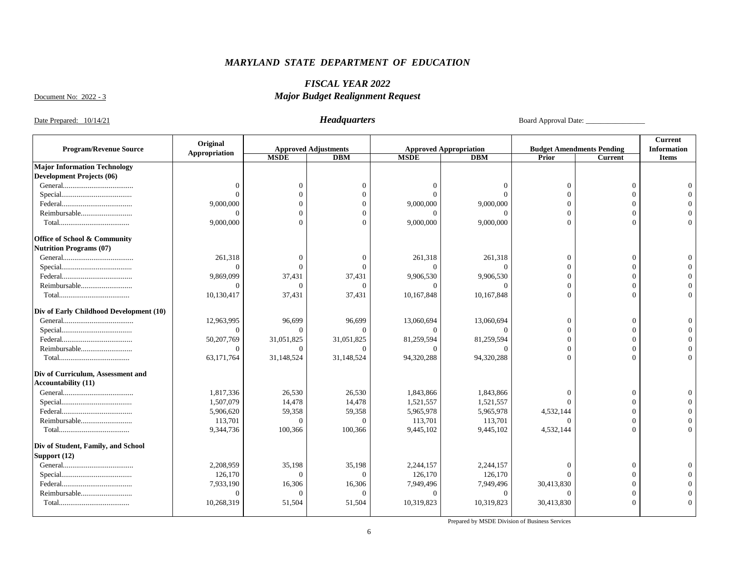### *FISCAL YEAR 2022 Major Budget Realignment Request*

Document No: 2022 - 3

Date Prepared: 10/14/21 *Headquarters* Board Approval Date: \_\_\_\_\_\_\_\_\_\_\_\_\_\_\_\_\_\_\_\_

|                                         | Original              |                |                                           |             |                                             |            |                                                    | <b>Current</b>                     |
|-----------------------------------------|-----------------------|----------------|-------------------------------------------|-------------|---------------------------------------------|------------|----------------------------------------------------|------------------------------------|
| <b>Program/Revenue Source</b>           | Appropriation         | <b>MSDE</b>    | <b>Approved Adjustments</b><br><b>DBM</b> | <b>MSDE</b> | <b>Approved Appropriation</b><br><b>DBM</b> | Prior      | <b>Budget Amendments Pending</b><br><b>Current</b> | <b>Information</b><br><b>Items</b> |
| <b>Major Information Technology</b>     |                       |                |                                           |             |                                             |            |                                                    |                                    |
| <b>Development Projects (06)</b>        |                       |                |                                           |             |                                             |            |                                                    |                                    |
|                                         | $\Omega$              | $\Omega$       |                                           |             |                                             |            | $\Omega$                                           |                                    |
|                                         | $\Omega$              | $\Omega$       |                                           | $\Omega$    |                                             |            | $\Omega$                                           |                                    |
|                                         |                       | $\Omega$       |                                           | 9,000,000   | 9,000,000                                   |            | $\Omega$                                           |                                    |
| Reimbursable                            | 9,000,000<br>$\Omega$ | $\Omega$       |                                           |             |                                             |            | $\Omega$                                           |                                    |
|                                         |                       |                |                                           |             |                                             |            |                                                    |                                    |
|                                         | 9,000,000             |                |                                           | 9,000,000   | 9,000,000                                   |            |                                                    |                                    |
| Office of School & Community            |                       |                |                                           |             |                                             |            |                                                    |                                    |
| <b>Nutrition Programs (07)</b>          |                       |                |                                           |             |                                             |            |                                                    |                                    |
|                                         | 261,318               | $\Omega$       |                                           | 261,318     | 261,318                                     | $\Omega$   | $\Omega$                                           |                                    |
|                                         | $\Omega$              | $\Omega$       |                                           | $\Omega$    | $\Omega$                                    | $\Omega$   | $\Omega$                                           |                                    |
|                                         | 9,869,099             | 37,431         | 37,431                                    | 9,906,530   | 9,906,530                                   | $\Omega$   | $\Omega$                                           |                                    |
| Reimbursable                            | $\Omega$              | $\Omega$       |                                           |             |                                             | $\Omega$   | $\Omega$                                           |                                    |
|                                         | 10,130,417            | 37,431         | 37,431                                    | 10,167,848  | 10,167,848                                  | $\Omega$   |                                                    |                                    |
| Div of Early Childhood Development (10) |                       |                |                                           |             |                                             |            |                                                    |                                    |
|                                         | 12,963,995            | 96,699         | 96,699                                    | 13,060,694  | 13,060,694                                  | $\Omega$   | $\Omega$                                           |                                    |
|                                         | $\Omega$              | $\Omega$       |                                           |             |                                             | $\Omega$   |                                                    |                                    |
|                                         | 50,207,769            | 31,051,825     | 31,051,825                                | 81,259,594  | 81,259,594                                  | $\Omega$   | $\Omega$                                           |                                    |
| Reimbursable                            | $\Omega$              | $\Omega$       |                                           | $\Omega$    | $\Omega$                                    | $\Omega$   | $\Omega$                                           |                                    |
|                                         | 63,171,764            | 31,148,524     | 31,148,524                                | 94,320,288  | 94,320,288                                  | $\Omega$   | $\Omega$                                           |                                    |
| Div of Curriculum, Assessment and       |                       |                |                                           |             |                                             |            |                                                    |                                    |
| <b>Accountability (11)</b>              |                       |                |                                           |             |                                             |            |                                                    |                                    |
|                                         | 1,817,336             | 26,530         | 26,530                                    | 1,843,866   | 1,843,866                                   |            | $\Omega$                                           |                                    |
|                                         | 1,507,079             | 14,478         | 14,478                                    | 1,521,557   | 1,521,557                                   |            |                                                    |                                    |
|                                         | 5,906,620             | 59,358         | 59,358                                    | 5,965,978   | 5,965,978                                   | 4,532,144  | $\Omega$                                           |                                    |
| Reimbursable                            | 113,701               | $\overline{0}$ | $\Omega$                                  | 113,701     | 113,701                                     |            | $\Omega$                                           |                                    |
|                                         | 9,344,736             | 100,366        | 100,366                                   | 9,445,102   | 9,445,102                                   | 4,532,144  | $\Omega$                                           |                                    |
| Div of Student, Family, and School      |                       |                |                                           |             |                                             |            |                                                    |                                    |
| Support (12)                            |                       |                |                                           |             |                                             |            |                                                    |                                    |
|                                         | 2,208,959             | 35,198         | 35,198                                    | 2,244,157   | 2,244,157                                   | $\theta$   | $\Omega$                                           |                                    |
|                                         | 126,170               | $\Omega$       | $\Omega$                                  | 126,170     | 126,170                                     | $\Omega$   |                                                    |                                    |
|                                         | 7,933,190             | 16,306         | 16,306                                    | 7,949,496   | 7,949,496                                   | 30,413,830 |                                                    |                                    |
| Reimbursable                            | $\Omega$              | $\Omega$       | $\Omega$                                  | $\Omega$    | $\Omega$                                    | $\Omega$   | $\Omega$                                           |                                    |
|                                         | 10,268,319            | 51,504         | 51,504                                    | 10,319,823  | 10,319,823                                  | 30,413,830 | $\Omega$                                           |                                    |
|                                         |                       |                |                                           |             |                                             |            |                                                    |                                    |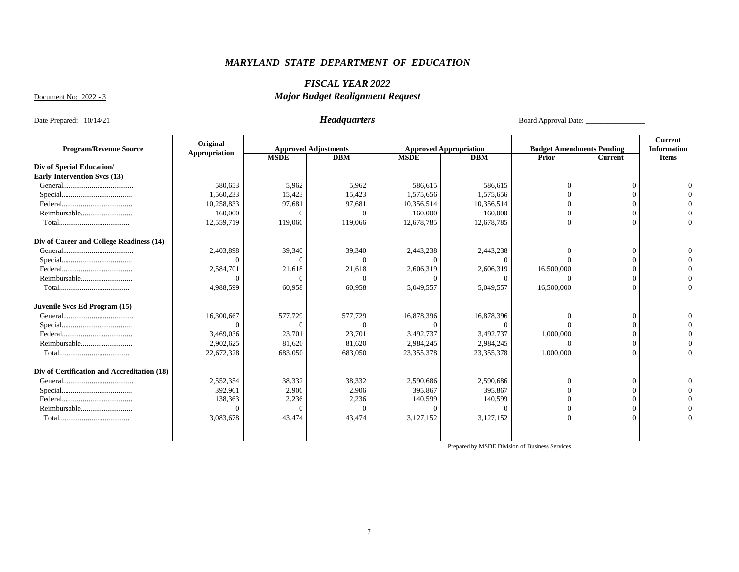### *FISCAL YEAR 2022 Major Budget Realignment Request*

Document No: 2022 - 3

Date Prepared: 10/14/21 *Headquarters* Board Approval Date: \_\_\_\_\_\_\_\_\_\_\_\_\_\_\_\_\_\_\_\_

|                                             | Original      |             |                             |             |                               |            |                                  | <b>Current</b>     |
|---------------------------------------------|---------------|-------------|-----------------------------|-------------|-------------------------------|------------|----------------------------------|--------------------|
| <b>Program/Revenue Source</b>               | Appropriation |             | <b>Approved Adjustments</b> |             | <b>Approved Appropriation</b> |            | <b>Budget Amendments Pending</b> | <b>Information</b> |
|                                             |               | <b>MSDE</b> | DBM                         | <b>MSDE</b> | DBM                           | Prior      | <b>Current</b>                   | <b>Items</b>       |
| Div of Special Education/                   |               |             |                             |             |                               |            |                                  |                    |
| <b>Early Intervention Svcs (13)</b>         |               |             |                             |             |                               |            |                                  |                    |
|                                             | 580,653       | 5,962       | 5,962                       | 586,615     | 586,615                       |            | -C                               |                    |
|                                             | 1,560,233     | 15,423      | 15,423                      | 1,575,656   | 1,575,656                     |            |                                  |                    |
|                                             | 10,258,833    | 97,681      | 97,681                      | 10,356,514  | 10,356,514                    |            |                                  |                    |
| Reimbursable                                | 160,000       |             |                             | 160,000     | 160,000                       |            |                                  |                    |
|                                             | 12,559,719    | 119,066     | 119,066                     | 12,678,785  | 12,678,785                    |            |                                  |                    |
| Div of Career and College Readiness (14)    |               |             |                             |             |                               |            |                                  |                    |
|                                             | 2,403,898     | 39,340      | 39,340                      | 2,443,238   | 2,443,238                     |            | $\sqrt{ }$                       |                    |
|                                             | $\Omega$      | $\Omega$    |                             | $\Omega$    | $\Omega$                      |            |                                  |                    |
|                                             | 2,584,701     | 21,618      | 21,618                      | 2,606,319   | 2,606,319                     | 16,500,000 |                                  |                    |
| Reimbursable                                |               | $\Omega$    |                             |             | $^{\circ}$                    |            |                                  |                    |
|                                             | 4,988,599     | 60,958      | 60,958                      | 5,049,557   | 5,049,557                     | 16,500,000 |                                  |                    |
| Juvenile Svcs Ed Program (15)               |               |             |                             |             |                               |            |                                  |                    |
|                                             | 16,300,667    | 577,729     | 577,729                     | 16,878,396  | 16,878,396                    |            | $\Omega$                         |                    |
|                                             | $\Omega$      |             |                             | $\Omega$    | $\Omega$                      |            |                                  |                    |
|                                             | 3,469,036     | 23,701      | 23,701                      | 3,492,737   | 3,492,737                     | 1,000,000  |                                  |                    |
| Reimbursable                                | 2,902,625     | 81,620      | 81,620                      | 2,984,245   | 2,984,245                     | $\Omega$   |                                  |                    |
|                                             | 22,672,328    | 683,050     | 683,050                     | 23,355,378  | 23, 355, 378                  | 1,000,000  |                                  |                    |
| Div of Certification and Accreditation (18) |               |             |                             |             |                               |            |                                  |                    |
|                                             | 2,552,354     | 38,332      | 38,332                      | 2,590,686   | 2,590,686                     |            | $\Omega$                         |                    |
|                                             | 392,961       | 2,906       | 2,906                       | 395,867     | 395,867                       |            |                                  |                    |
|                                             | 138,363       | 2,236       | 2,236                       | 140,599     | 140,599                       |            |                                  |                    |
| Reimbursable                                |               | $\Omega$    |                             | $\Omega$    | $\Omega$                      | $\Omega$   |                                  |                    |
|                                             | 3,083,678     | 43,474      | 43,474                      | 3,127,152   | 3,127,152                     | $\Omega$   |                                  |                    |
|                                             |               |             |                             |             |                               |            |                                  |                    |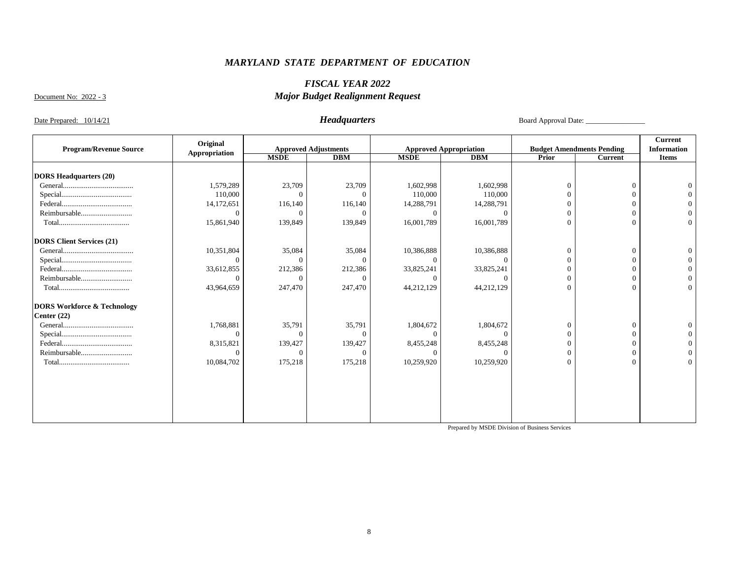### *FISCAL YEAR 2022 Major Budget Realignment Request*

Document No: 2022 - 3

Date Prepared: 10/14/21 *Headquarters* Board Approval Date: \_\_\_\_\_\_\_\_\_\_\_\_\_\_\_\_

|                                        | Original      |             |                             |             |                               |       |                                  | Current            |
|----------------------------------------|---------------|-------------|-----------------------------|-------------|-------------------------------|-------|----------------------------------|--------------------|
| <b>Program/Revenue Source</b>          | Appropriation |             | <b>Approved Adjustments</b> |             | <b>Approved Appropriation</b> |       | <b>Budget Amendments Pending</b> | <b>Information</b> |
|                                        |               | <b>MSDE</b> | <b>DBM</b>                  | <b>MSDE</b> | <b>DBM</b>                    | Prior | Current                          | <b>Items</b>       |
|                                        |               |             |                             |             |                               |       |                                  |                    |
| <b>DORS Headquarters (20)</b>          |               |             |                             |             |                               |       |                                  |                    |
|                                        | 1,579,289     | 23,709      | 23,709                      | 1,602,998   | 1,602,998                     |       | $\Omega$                         | $\Omega$           |
|                                        | 110,000       | $\Omega$    |                             | 110,000     | 110,000                       |       | $\Omega$                         |                    |
|                                        | 14,172,651    | 116,140     | 116,140                     | 14,288,791  | 14,288,791                    |       | $\Omega$                         |                    |
| Reimbursable                           | $\theta$      | $\Omega$    | $\Omega$                    | $\Omega$    | $\Omega$                      |       | $\Omega$                         |                    |
|                                        | 15,861,940    | 139,849     | 139,849                     | 16,001,789  | 16,001,789                    |       | $\Omega$                         | $\Omega$           |
| <b>DORS Client Services (21)</b>       |               |             |                             |             |                               |       |                                  |                    |
|                                        | 10,351,804    | 35,084      | 35,084                      | 10,386,888  | 10,386,888                    |       | $\mathbf{0}$                     | $\Omega$           |
|                                        | $\Omega$      | $\Omega$    | $\Omega$                    | $\Omega$    | $\Omega$                      |       | $\Omega$                         |                    |
|                                        | 33,612,855    | 212,386     | 212,386                     | 33,825,241  | 33,825,241                    |       | $\Omega$                         |                    |
| Reimbursable                           | $\Omega$      | $\Omega$    | ∩                           | $\Omega$    |                               |       | $\Omega$                         |                    |
|                                        | 43,964,659    | 247,470     | 247,470                     | 44,212,129  | 44,212,129                    |       | $\Omega$                         | $\Omega$           |
| <b>DORS Workforce &amp; Technology</b> |               |             |                             |             |                               |       |                                  |                    |
| Center $(22)$                          |               |             |                             |             |                               |       |                                  |                    |
|                                        | 1,768,881     | 35,791      | 35,791                      | 1,804,672   | 1,804,672                     | 0     | $\Omega$                         | $\Omega$           |
|                                        | $\Omega$      | $\Omega$    |                             | $\Omega$    |                               |       | $\Omega$                         |                    |
|                                        | 8,315,821     | 139,427     | 139,427                     | 8,455,248   | 8,455,248                     |       | $\Omega$                         |                    |
| Reimbursable                           | $\Omega$      | $\Omega$    | C                           | $\Omega$    | $\Omega$                      |       |                                  |                    |
|                                        | 10,084,702    | 175,218     | 175,218                     | 10,259,920  | 10,259,920                    |       | $\Omega$                         | $\Omega$           |
|                                        |               |             |                             |             |                               |       |                                  |                    |
|                                        |               |             |                             |             |                               |       |                                  |                    |
|                                        |               |             |                             |             |                               |       |                                  |                    |
|                                        |               |             |                             |             |                               |       |                                  |                    |
|                                        |               |             |                             |             |                               |       |                                  |                    |
|                                        |               |             |                             |             |                               |       |                                  |                    |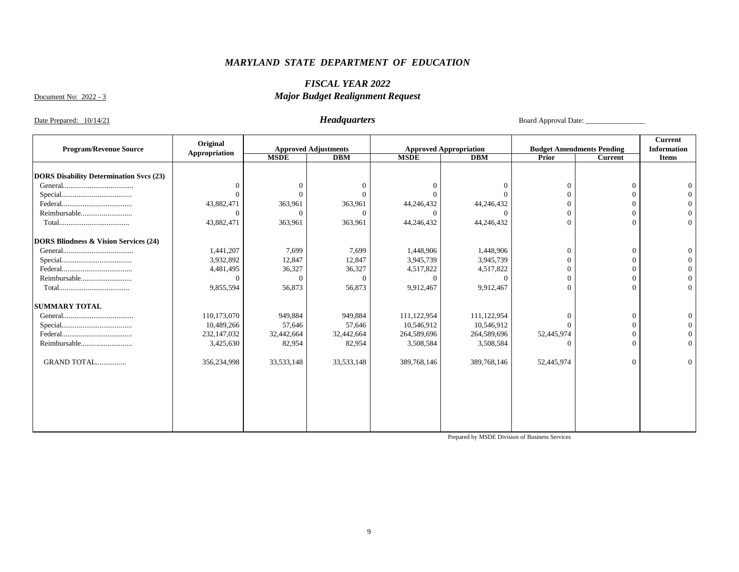### *FISCAL YEAR 2022 Major Budget Realignment Request*

Document No: 2022 - 3

Date Prepared: 10/14/21 *Headquarters* Board Approval Date: \_\_\_\_\_\_\_\_\_\_\_\_\_\_\_\_\_\_\_\_

|                                                  | Original      |              |                             |             |                               |            |                                  | <b>Current</b>     |
|--------------------------------------------------|---------------|--------------|-----------------------------|-------------|-------------------------------|------------|----------------------------------|--------------------|
| <b>Program/Revenue Source</b>                    | Appropriation |              | <b>Approved Adjustments</b> |             | <b>Approved Appropriation</b> |            | <b>Budget Amendments Pending</b> | <b>Information</b> |
|                                                  |               | <b>MSDE</b>  | DBM                         | <b>MSDE</b> | DBM                           | Prior      | <b>Current</b>                   | <b>Items</b>       |
|                                                  |               |              |                             |             |                               |            |                                  |                    |
| <b>DORS Disability Determination Svcs (23)</b>   |               |              |                             |             |                               |            |                                  |                    |
|                                                  | $\Omega$      | $\Omega$     |                             | $\Omega$    |                               | $\Omega$   | $\Omega$                         |                    |
|                                                  | $\Omega$      |              |                             |             |                               |            |                                  |                    |
|                                                  | 43,882,471    | 363,961      | 363,961                     | 44,246,432  | 44,246,432                    |            |                                  |                    |
| Reimbursable                                     | $\Omega$      | ∩            | $\Omega$                    | $\Omega$    | 0                             | $\Omega$   |                                  |                    |
|                                                  | 43,882,471    | 363,961      | 363,961                     | 44,246,432  | 44,246,432                    | $\Omega$   |                                  |                    |
| <b>DORS Blindness &amp; Vision Services (24)</b> |               |              |                             |             |                               |            |                                  |                    |
|                                                  | 1,441,207     | 7,699        | 7,699                       | 1,448,906   | 1,448,906                     | $\Omega$   | $\Omega$                         |                    |
|                                                  | 3,932,892     | 12,847       | 12,847                      | 3,945,739   | 3,945,739                     |            |                                  |                    |
|                                                  | 4,481,495     | 36,327       | 36,327                      | 4,517,822   | 4,517,822                     |            |                                  |                    |
| Reimbursable                                     | $\Omega$      | $\Omega$     | $\Omega$                    | $\Omega$    | $\Omega$                      | $\Omega$   |                                  |                    |
|                                                  | 9,855,594     | 56,873       | 56,873                      | 9,912,467   | 9,912,467                     | $\Omega$   | $\Omega$                         | $\Omega$           |
| <b>SUMMARY TOTAL</b>                             |               |              |                             |             |                               |            |                                  |                    |
|                                                  | 110,173,070   | 949,884      | 949,884                     | 111,122,954 | 111,122,954                   |            | $\Omega$                         |                    |
|                                                  | 10,489,266    | 57,646       | 57,646                      | 10,546,912  | 10,546,912                    |            |                                  |                    |
|                                                  | 232, 147, 032 | 32,442,664   | 32,442,664                  | 264,589,696 | 264,589,696                   | 52,445,974 |                                  |                    |
| Reimbursable                                     | 3,425,630     | 82,954       | 82,954                      | 3,508,584   | 3,508,584                     |            |                                  |                    |
|                                                  |               |              |                             |             |                               |            |                                  |                    |
| GRAND TOTAL                                      | 356,234,998   | 33, 533, 148 | 33, 533, 148                | 389,768,146 | 389,768,146                   | 52,445,974 | $\Omega$                         |                    |
|                                                  |               |              |                             |             |                               |            |                                  |                    |
|                                                  |               |              |                             |             |                               |            |                                  |                    |
|                                                  |               |              |                             |             |                               |            |                                  |                    |
|                                                  |               |              |                             |             |                               |            |                                  |                    |
|                                                  |               |              |                             |             |                               |            |                                  |                    |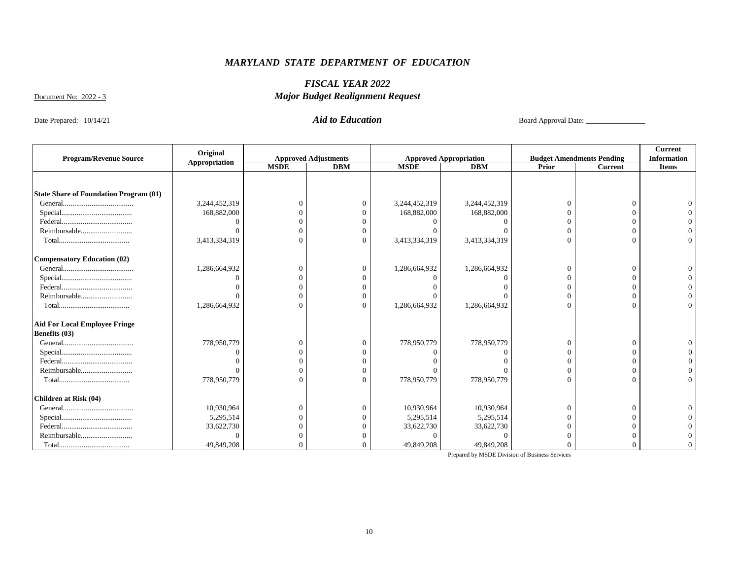### *FISCAL YEAR 2022 Major Budget Realignment Request*

Document No: 2022 - 3

Date Prepared: 10/14/21 *Aid to Education* Board Approval Date: \_\_\_\_\_\_\_\_\_\_\_\_\_\_\_\_

| <b>Program/Revenue Source</b>                 | Original      | <b>Approved Adjustments</b> |     |               | <b>Approved Appropriation</b> |          | <b>Budget Amendments Pending</b> | Current<br><b>Information</b> |
|-----------------------------------------------|---------------|-----------------------------|-----|---------------|-------------------------------|----------|----------------------------------|-------------------------------|
|                                               | Appropriation | <b>MSDE</b>                 | DBM | <b>MSDE</b>   | DBM                           | Prior    | <b>Current</b>                   | <b>Items</b>                  |
|                                               |               |                             |     |               |                               |          |                                  |                               |
| <b>State Share of Foundation Program (01)</b> |               |                             |     |               |                               |          |                                  |                               |
|                                               | 3,244,452,319 | $\Omega$                    | 0   | 3,244,452,319 | 3,244,452,319                 | $\Omega$ | $\Omega$                         |                               |
|                                               | 168,882,000   |                             |     | 168,882,000   | 168,882,000                   |          |                                  |                               |
|                                               |               | $\Omega$                    |     |               |                               |          |                                  |                               |
| Reimbursable                                  |               | $\Omega$                    |     |               |                               |          |                                  |                               |
|                                               |               | $\Omega$                    |     |               |                               |          |                                  |                               |
|                                               | 3,413,334,319 |                             |     | 3,413,334,319 | 3,413,334,319                 |          |                                  |                               |
| <b>Compensatory Education (02)</b>            |               |                             |     |               |                               |          |                                  |                               |
|                                               | 1,286,664,932 | $\theta$                    |     | 1,286,664,932 | 1,286,664,932                 | $\Omega$ | $\Omega$                         |                               |
|                                               |               | $\Omega$                    |     |               |                               |          |                                  |                               |
|                                               |               | $\Omega$                    |     |               |                               |          |                                  |                               |
| Reimbursable                                  |               | $\Omega$                    |     |               |                               |          |                                  |                               |
|                                               | ,286,664,932  | $\Omega$                    |     | 1,286,664,932 | 1,286,664,932                 | $\Omega$ | $\Omega$                         |                               |
| <b>Aid For Local Employee Fringe</b>          |               |                             |     |               |                               |          |                                  |                               |
| Benefits (03)                                 |               |                             |     |               |                               |          |                                  |                               |
|                                               | 778,950,779   | $\Omega$                    |     | 778,950,779   | 778,950,779                   |          | $\Omega$                         |                               |
|                                               |               | $\Omega$                    |     |               |                               |          |                                  |                               |
|                                               |               | $\Omega$                    |     |               |                               |          |                                  |                               |
| Reimbursable                                  |               | $\Omega$                    |     |               |                               |          |                                  |                               |
|                                               | 778,950,779   | $\Omega$                    |     | 778,950,779   | 778,950,779                   | $\Omega$ |                                  |                               |
| <b>Children at Risk (04)</b>                  |               |                             |     |               |                               |          |                                  |                               |
|                                               | 10,930,964    | $\theta$                    |     | 10,930,964    | 10,930,964                    | $\Omega$ | $\Omega$                         |                               |
|                                               | 5,295,514     | $\Omega$                    |     | 5,295,514     | 5,295,514                     |          |                                  |                               |
|                                               | 33,622,730    | $\Omega$                    |     | 33,622,730    | 33,622,730                    |          |                                  |                               |
| Reimbursable                                  |               | $\Omega$                    |     |               |                               |          |                                  |                               |
|                                               | 49,849,208    |                             |     | 49,849,208    | 49,849,208                    |          |                                  |                               |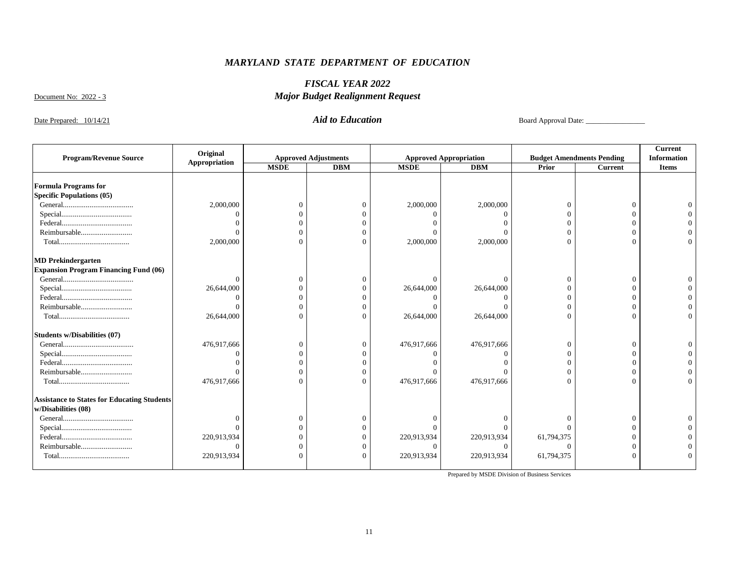### *FISCAL YEAR 2022 Major Budget Realignment Request*

Document No: 2022 - 3

Date Prepared: 10/14/21 *Aid to Education* Board Approval Date: \_\_\_\_\_\_\_\_\_\_\_\_\_\_\_\_

|                                                    | Original      |             |                             |             |                               |                |                                  | <b>Current</b>     |
|----------------------------------------------------|---------------|-------------|-----------------------------|-------------|-------------------------------|----------------|----------------------------------|--------------------|
| <b>Program/Revenue Source</b>                      | Appropriation |             | <b>Approved Adjustments</b> |             | <b>Approved Appropriation</b> |                | <b>Budget Amendments Pending</b> | <b>Information</b> |
|                                                    |               | <b>MSDE</b> | <b>DBM</b>                  | <b>MSDE</b> | <b>DBM</b>                    | Prior          | <b>Current</b>                   | <b>Items</b>       |
|                                                    |               |             |                             |             |                               |                |                                  |                    |
| <b>Formula Programs for</b>                        |               |             |                             |             |                               |                |                                  |                    |
| <b>Specific Populations (05)</b>                   |               |             |                             |             |                               |                |                                  |                    |
|                                                    | 2,000,000     |             |                             | 2,000,000   | 2,000,000                     | $\Omega$       |                                  |                    |
|                                                    |               |             |                             |             |                               |                |                                  |                    |
|                                                    |               |             |                             |             |                               | $\Omega$       |                                  |                    |
| Reimbursable                                       |               | ſ           |                             |             |                               | $\Omega$       |                                  |                    |
|                                                    | 2,000,000     | $\sqrt{ }$  |                             | 2,000,000   | 2,000,000                     | $\Omega$       |                                  |                    |
| <b>MD Prekindergarten</b>                          |               |             |                             |             |                               |                |                                  |                    |
| <b>Expansion Program Financing Fund (06)</b>       |               |             |                             |             |                               |                |                                  |                    |
|                                                    | $\Omega$      | C           |                             | $\Omega$    | $\Omega$                      | $\overline{0}$ |                                  |                    |
|                                                    | 26,644,000    | ſ           |                             | 26,644,000  | 26,644,000                    | $\Omega$       |                                  |                    |
|                                                    |               | ſ           |                             |             |                               | $\Omega$       |                                  |                    |
| Reimbursable                                       |               |             |                             |             |                               | $\Omega$       |                                  |                    |
|                                                    | 26,644,000    | $\sqrt{ }$  |                             | 26,644,000  | 26,644,000                    | $\Omega$       |                                  |                    |
| <b>Students w/Disabilities (07)</b>                |               |             |                             |             |                               |                |                                  |                    |
|                                                    | 476,917,666   | ſ           |                             | 476,917,666 | 476,917,666                   | $\Omega$       |                                  |                    |
|                                                    |               |             |                             |             |                               |                |                                  |                    |
|                                                    |               |             |                             |             |                               | $\Omega$       |                                  |                    |
| Reimbursable                                       | $\Omega$      | ſ           |                             |             |                               | $\Omega$       |                                  |                    |
|                                                    | 476,917,666   | $\sqrt{ }$  |                             | 476,917,666 | 476,917,666                   | $\Omega$       |                                  |                    |
| <b>Assistance to States for Educating Students</b> |               |             |                             |             |                               |                |                                  |                    |
| w/Disabilities (08)                                |               |             |                             |             |                               |                |                                  |                    |
|                                                    |               | C           |                             |             |                               | $\Omega$       |                                  |                    |
|                                                    | $\Omega$      | $\sqrt{ }$  |                             |             |                               | $\Omega$       |                                  |                    |
|                                                    | 220,913,934   | ſ           |                             | 220,913,934 | 220,913,934                   | 61,794,375     |                                  |                    |
| Reimbursable                                       | $\Omega$      |             |                             |             | $\Omega$                      | $\Omega$       |                                  |                    |
|                                                    | 220,913,934   |             |                             | 220,913,934 | 220,913,934                   | 61,794,375     |                                  |                    |
|                                                    |               |             |                             |             |                               |                |                                  |                    |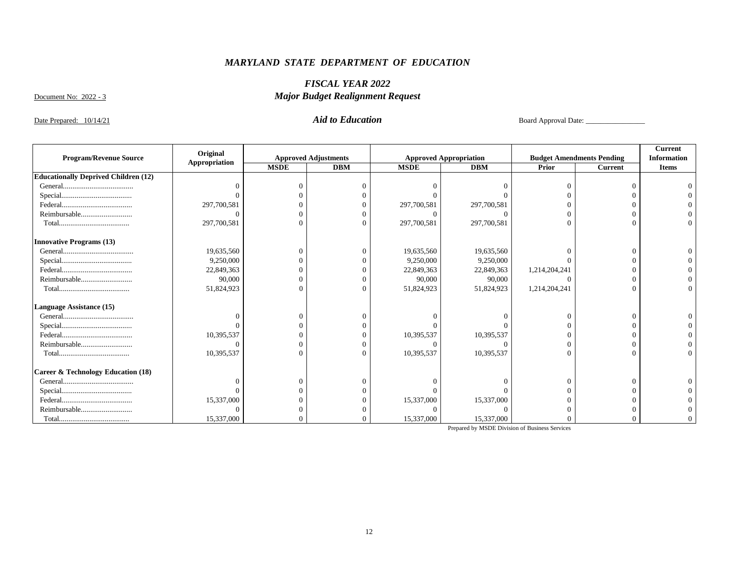### *FISCAL YEAR 2022 Major Budget Realignment Request*

Document No: 2022 - 3

Date Prepared: 10/14/21 *Aid to Education* Board Approval Date: \_\_\_\_\_\_\_\_\_\_\_\_\_\_\_\_

|                                               | Original      |             |                             |             |                               |               |                                  | <b>Current</b>     |
|-----------------------------------------------|---------------|-------------|-----------------------------|-------------|-------------------------------|---------------|----------------------------------|--------------------|
| <b>Program/Revenue Source</b>                 | Appropriation |             | <b>Approved Adjustments</b> |             | <b>Approved Appropriation</b> |               | <b>Budget Amendments Pending</b> | <b>Information</b> |
|                                               |               | <b>MSDE</b> | <b>DBM</b>                  | <b>MSDE</b> | <b>DBM</b>                    | Prior         | <b>Current</b>                   | <b>Items</b>       |
| <b>Educationally Deprived Children (12)</b>   |               |             |                             |             |                               |               |                                  |                    |
|                                               |               | $\Omega$    |                             |             |                               |               |                                  |                    |
|                                               |               |             |                             |             |                               |               |                                  |                    |
|                                               | 297,700,581   |             |                             | 297,700,581 | 297,700,581                   |               |                                  |                    |
| Reimbursable                                  |               |             |                             | 0           |                               |               |                                  |                    |
|                                               | 297,700,581   | $\Omega$    |                             | 297,700,581 | 297,700,581                   |               |                                  |                    |
| <b>Innovative Programs (13)</b>               |               |             |                             |             |                               |               |                                  |                    |
|                                               | 19,635,560    | $\bigcap$   |                             | 19,635,560  | 19,635,560                    |               |                                  |                    |
|                                               | 9,250,000     |             |                             | 9,250,000   | 9,250,000                     |               |                                  |                    |
|                                               | 22,849,363    |             |                             | 22,849,363  | 22,849,363                    | 1,214,204,241 |                                  |                    |
| Reimbursable                                  | 90,000        | $\Omega$    |                             | 90,000      | 90,000                        |               |                                  |                    |
|                                               | 51,824,923    |             |                             | 51,824,923  | 51,824,923                    | 1,214,204,241 |                                  |                    |
| Language Assistance (15)                      |               |             |                             |             |                               |               |                                  |                    |
|                                               |               |             |                             |             |                               |               |                                  |                    |
|                                               |               |             |                             |             |                               |               |                                  |                    |
|                                               | 10,395,537    |             |                             | 10,395,537  | 10,395,537                    |               |                                  |                    |
| Reimbursable                                  |               | $\Omega$    |                             |             |                               |               |                                  |                    |
|                                               | 10,395,537    | $\bigcap$   |                             | 10,395,537  | 10,395,537                    |               |                                  |                    |
| <b>Career &amp; Technology Education (18)</b> |               |             |                             |             |                               |               |                                  |                    |
|                                               |               | $\Omega$    |                             |             |                               |               |                                  |                    |
|                                               |               |             |                             |             |                               |               |                                  |                    |
|                                               | 15,337,000    |             |                             | 15,337,000  | 15,337,000                    |               |                                  |                    |
| Reimbursable                                  |               |             |                             |             |                               |               |                                  |                    |
|                                               | 15,337,000    |             |                             | 15,337,000  | 15,337,000                    |               |                                  |                    |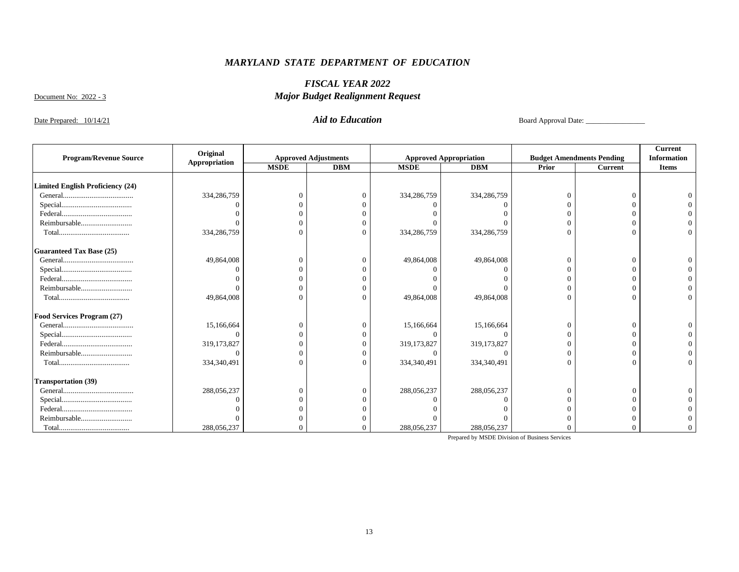### *FISCAL YEAR 2022 Major Budget Realignment Request*

Document No: 2022 - 3

Date Prepared: 10/14/21 *Aid to Education* Board Approval Date: \_\_\_\_\_\_\_\_\_\_\_\_\_\_\_\_

|                                         | Original      |             |                             |             |                               |       |                                  | Current            |
|-----------------------------------------|---------------|-------------|-----------------------------|-------------|-------------------------------|-------|----------------------------------|--------------------|
| <b>Program/Revenue Source</b>           | Appropriation |             | <b>Approved Adjustments</b> |             | <b>Approved Appropriation</b> |       | <b>Budget Amendments Pending</b> | <b>Information</b> |
|                                         |               | <b>MSDE</b> | <b>DBM</b>                  | <b>MSDE</b> | <b>DBM</b>                    | Prior | <b>Current</b>                   | <b>Items</b>       |
| <b>Limited English Proficiency (24)</b> |               |             |                             |             |                               |       |                                  |                    |
|                                         | 334,286,759   | $\Omega$    |                             | 334,286,759 | 334,286,759                   |       |                                  |                    |
|                                         |               |             |                             |             |                               |       |                                  |                    |
|                                         |               |             |                             |             |                               |       |                                  |                    |
| Reimbursable                            |               |             |                             |             |                               |       |                                  |                    |
|                                         | 334,286,759   | $\Omega$    |                             | 334,286,759 | 334,286,759                   |       |                                  |                    |
| <b>Guaranteed Tax Base (25)</b>         |               |             |                             |             |                               |       |                                  |                    |
|                                         | 49,864,008    | $\Omega$    |                             | 49,864,008  | 49,864,008                    |       |                                  |                    |
|                                         |               |             |                             |             |                               |       |                                  |                    |
|                                         |               |             |                             |             |                               |       |                                  |                    |
| Reimbursable                            |               | $\Omega$    |                             |             |                               |       |                                  |                    |
|                                         | 49,864,008    | $\Omega$    |                             | 49,864,008  | 49,864,008                    |       |                                  |                    |
| Food Services Program (27)              |               |             |                             |             |                               |       |                                  |                    |
|                                         | 15,166,664    | $\Omega$    |                             | 15,166,664  | 15,166,664                    |       | $\Omega$                         |                    |
|                                         | $\Omega$      | $\Omega$    |                             |             |                               |       |                                  |                    |
|                                         | 319, 173, 827 |             |                             | 319,173,827 | 319,173,827                   |       |                                  |                    |
| Reimbursable                            |               | $\Omega$    |                             |             |                               |       |                                  |                    |
|                                         | 334,340,491   | $\Omega$    |                             | 334,340,491 | 334,340,491                   |       |                                  |                    |
| <b>Transportation (39)</b>              |               |             |                             |             |                               |       |                                  |                    |
|                                         | 288,056,237   | $\Omega$    |                             | 288,056,237 | 288,056,237                   |       | $\Omega$                         |                    |
|                                         |               | $\Omega$    |                             |             |                               |       |                                  |                    |
|                                         |               |             |                             |             |                               |       |                                  |                    |
| Reimbursable                            |               |             |                             |             |                               |       |                                  |                    |
| ${\bf Total.} \label{thm:nonlin}$       | 288,056,237   |             |                             | 288,056,237 | 288,056,237                   |       |                                  |                    |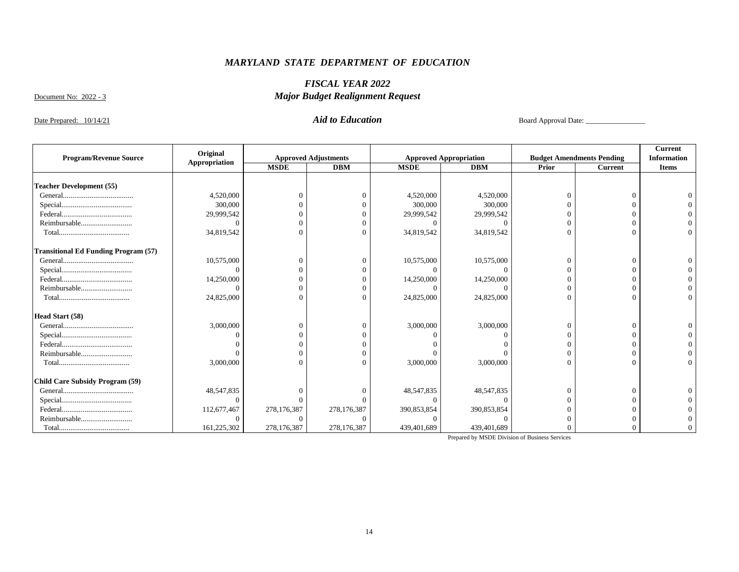### *FISCAL YEAR 2022 Major Budget Realignment Request*

Document No: 2022 - 3

Date Prepared: 10/14/21 *Aid to Education* Board Approval Date: \_\_\_\_\_\_\_\_\_\_\_\_\_\_\_\_

|                                             | Original      |             |                             |             |                               |       |                                  |                    |  |
|---------------------------------------------|---------------|-------------|-----------------------------|-------------|-------------------------------|-------|----------------------------------|--------------------|--|
| <b>Program/Revenue Source</b>               | Appropriation |             | <b>Approved Adjustments</b> |             | <b>Approved Appropriation</b> |       | <b>Budget Amendments Pending</b> | <b>Information</b> |  |
|                                             |               | <b>MSDE</b> | <b>DBM</b>                  | <b>MSDE</b> | <b>DBM</b>                    | Prior | <b>Current</b>                   | <b>Items</b>       |  |
| <b>Teacher Development (55)</b>             |               |             |                             |             |                               |       |                                  |                    |  |
|                                             | 4,520,000     |             |                             | 4,520,000   | 4,520,000                     |       |                                  |                    |  |
|                                             | 300,000       |             |                             | 300,000     | 300,000                       |       |                                  |                    |  |
|                                             | 29,999,542    |             |                             | 29,999,542  | 29,999,542                    |       |                                  |                    |  |
| Reimbursable                                |               |             |                             |             |                               |       |                                  |                    |  |
|                                             | 34,819,542    |             |                             | 34,819,542  | 34,819,542                    |       |                                  |                    |  |
| <b>Transitional Ed Funding Program (57)</b> |               |             |                             |             |                               |       |                                  |                    |  |
|                                             | 10,575,000    |             |                             | 10,575,000  | 10,575,000                    |       |                                  |                    |  |
|                                             |               |             |                             |             |                               |       |                                  |                    |  |
|                                             | 14,250,000    |             |                             | 14,250,000  | 14,250,000                    |       |                                  |                    |  |
| Reimbursable                                |               |             |                             |             |                               |       |                                  |                    |  |
|                                             | 24,825,000    |             |                             | 24,825,000  | 24,825,000                    |       |                                  |                    |  |
| Head Start (58)                             |               |             |                             |             |                               |       |                                  |                    |  |
|                                             | 3,000,000     |             |                             | 3,000,000   | 3,000,000                     |       |                                  |                    |  |
|                                             |               |             |                             |             |                               |       |                                  |                    |  |
|                                             |               |             |                             |             |                               |       |                                  |                    |  |
| Reimbursable                                |               |             |                             |             |                               |       |                                  |                    |  |
|                                             | 3,000,000     |             |                             | 3,000,000   | 3,000,000                     |       |                                  |                    |  |
| Child Care Subsidy Program (59)             |               |             |                             |             |                               |       |                                  |                    |  |
|                                             | 48,547,835    |             |                             | 48,547,835  | 48,547,835                    |       |                                  |                    |  |
|                                             |               |             |                             | $\Omega$    |                               |       |                                  |                    |  |
|                                             | 112,677,467   | 278,176,387 | 278,176,387                 | 390,853,854 | 390,853,854                   |       |                                  |                    |  |
| Reimbursable                                |               |             |                             |             |                               |       |                                  |                    |  |
|                                             | 161,225,302   | 278,176,387 | 278,176,387                 | 439,401,689 | 439,401,689                   |       |                                  |                    |  |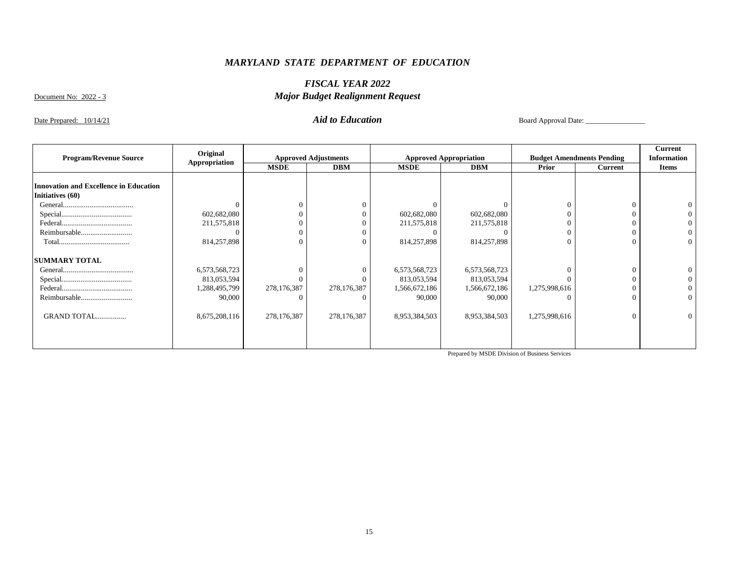### *FISCAL YEAR 2022 Major Budget Realignment Request*

Document No: 2022 - 3

Date Prepared: 10/14/21 *Aid to Education* Board Approval Date: \_\_\_\_\_\_\_\_\_\_\_\_\_\_\_\_

|                                               | Original      |             |                             |               |                               |               |                                  | Current            |
|-----------------------------------------------|---------------|-------------|-----------------------------|---------------|-------------------------------|---------------|----------------------------------|--------------------|
| <b>Program/Revenue Source</b>                 | Appropriation |             | <b>Approved Adjustments</b> |               | <b>Approved Appropriation</b> |               | <b>Budget Amendments Pending</b> | <b>Information</b> |
|                                               |               | <b>MSDE</b> | <b>DBM</b>                  | <b>MSDE</b>   | <b>DBM</b>                    | Prior         | <b>Current</b>                   | <b>Items</b>       |
|                                               |               |             |                             |               |                               |               |                                  |                    |
| <b>Innovation and Excellence in Education</b> |               |             |                             |               |                               |               |                                  |                    |
| Initiatives (60)                              |               |             |                             |               |                               |               |                                  |                    |
|                                               |               |             |                             |               |                               |               |                                  |                    |
|                                               | 602,682,080   |             |                             | 602,682,080   | 602,682,080                   |               |                                  |                    |
|                                               | 211,575,818   |             |                             | 211,575,818   | 211,575,818                   |               |                                  |                    |
| Reimbursable                                  |               |             |                             |               |                               |               |                                  |                    |
|                                               | 814,257,898   | $\Omega$    |                             | 814,257,898   | 814,257,898                   |               | $\Omega$                         |                    |
| <b>SUMMARY TOTAL</b>                          |               |             |                             |               |                               |               |                                  |                    |
|                                               | 6,573,568,723 |             |                             | 6,573,568,723 | 6,573,568,723                 |               |                                  |                    |
|                                               | 813,053,594   |             |                             | 813,053,594   | 813,053,594                   |               |                                  |                    |
|                                               | 1,288,495,799 | 278,176,387 | 278,176,387                 | 1,566,672,186 | 1,566,672,186                 | 1,275,998,616 |                                  |                    |
|                                               | 90,000        |             |                             | 90,000        | 90,000                        |               |                                  |                    |
| GRAND TOTAL                                   | 8,675,208,116 | 278,176,387 | 278,176,387                 | 8,953,384,503 | 8,953,384,503                 | 1,275,998,616 | $\Omega$                         |                    |
|                                               |               |             |                             |               |                               |               |                                  |                    |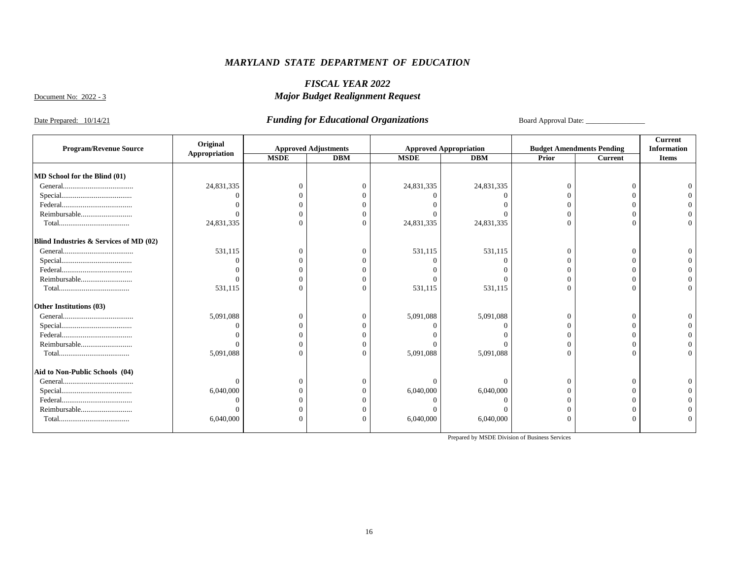### *FISCAL YEAR 2022 Major Budget Realignment Request*

Document No: 2022 - 3

Date Prepared: 10/14/21 *Funding for Educational Organizations* Board Approval Date: \_\_\_\_\_\_\_\_\_\_\_\_\_\_\_\_

|                                        | Original      |             |                             |             |                               |              |                                  | <b>Current</b>     |
|----------------------------------------|---------------|-------------|-----------------------------|-------------|-------------------------------|--------------|----------------------------------|--------------------|
| <b>Program/Revenue Source</b>          | Appropriation |             | <b>Approved Adjustments</b> |             | <b>Approved Appropriation</b> |              | <b>Budget Amendments Pending</b> | <b>Information</b> |
|                                        |               | <b>MSDE</b> | <b>DBM</b>                  | <b>MSDE</b> | <b>DBM</b>                    | <b>Prior</b> | <b>Current</b>                   | <b>Items</b>       |
|                                        |               |             |                             |             |                               |              |                                  |                    |
| MD School for the Blind (01)           |               |             |                             |             |                               |              |                                  |                    |
|                                        | 24,831,335    |             | 0                           | 24,831,335  | 24,831,335                    |              | $\Omega$                         |                    |
|                                        | $\Omega$      |             |                             |             |                               |              |                                  |                    |
|                                        |               |             |                             |             |                               |              |                                  |                    |
| Reimbursable                           |               |             |                             |             |                               |              |                                  |                    |
| ${\bf Total.} \label{thm:nonlin}$      | 24,831,335    | $\Omega$    |                             | 24,831,335  | 24,831,335                    |              |                                  |                    |
| Blind Industries & Services of MD (02) |               |             |                             |             |                               |              |                                  |                    |
|                                        | 531,115       | $\Omega$    | 0                           | 531,115     | 531,115                       |              | $\Omega$                         |                    |
|                                        | $\Omega$      |             |                             |             |                               |              |                                  |                    |
|                                        |               |             |                             |             |                               |              |                                  |                    |
| Reimbursable                           |               |             |                             |             |                               |              |                                  |                    |
|                                        | 531,115       | $\Omega$    |                             | 531,115     | 531,115                       | $\Omega$     | $\Omega$                         |                    |
| Other Institutions (03)                |               |             |                             |             |                               |              |                                  |                    |
|                                        | 5,091,088     | $\Omega$    | $\Omega$                    | 5,091,088   | 5,091,088                     | $\Omega$     | $\Omega$                         |                    |
|                                        | $\Omega$      |             |                             |             |                               |              |                                  |                    |
|                                        |               |             |                             |             |                               |              |                                  |                    |
| Reimbursable                           |               | $\bigcap$   |                             |             |                               |              |                                  |                    |
|                                        | 5,091,088     | $\Omega$    |                             | 5,091,088   | 5,091,088                     |              | $\Omega$                         |                    |
| Aid to Non-Public Schools (04)         |               |             |                             |             |                               |              |                                  |                    |
|                                        | $\Omega$      |             |                             |             |                               |              | $\Omega$                         |                    |
|                                        | 6,040,000     |             |                             | 6,040,000   | 6,040,000                     |              |                                  |                    |
|                                        |               |             |                             |             |                               |              |                                  |                    |
| Reimbursable                           |               |             |                             |             |                               |              |                                  |                    |
|                                        | 6,040,000     | $\Omega$    |                             | 6,040,000   | 6,040,000                     | $\Omega$     | $\Omega$                         |                    |
|                                        |               |             |                             |             |                               |              |                                  |                    |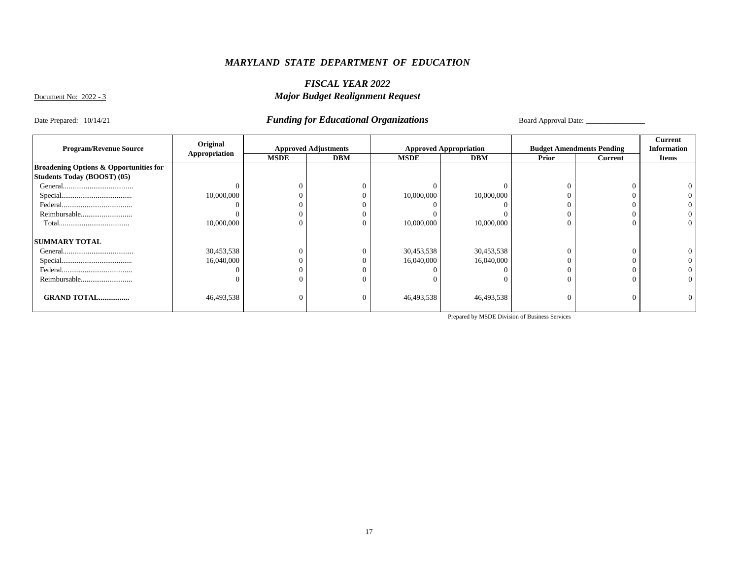### *FISCAL YEAR 2022 Major Budget Realignment Request*

Document No: 2022 - 3

Date Prepared: 10/14/21 *Funding for Educational Organizations* Board Approval Date:

|                                                   | Original      |                |                             |             |                               |       |                                  | Current            |
|---------------------------------------------------|---------------|----------------|-----------------------------|-------------|-------------------------------|-------|----------------------------------|--------------------|
| <b>Program/Revenue Source</b>                     | Appropriation |                | <b>Approved Adjustments</b> |             | <b>Approved Appropriation</b> |       | <b>Budget Amendments Pending</b> | <b>Information</b> |
|                                                   |               | <b>MSDE</b>    | <b>DBM</b>                  | <b>MSDE</b> | <b>DBM</b>                    | Prior | Current                          | <b>Items</b>       |
| <b>Broadening Options &amp; Opportunities for</b> |               |                |                             |             |                               |       |                                  |                    |
| Students Today (BOOST) (05)                       |               |                |                             |             |                               |       |                                  |                    |
|                                                   |               | $\Omega$       |                             |             |                               |       |                                  |                    |
|                                                   | 10,000,000    | $\Omega$       |                             | 10,000,000  | 10,000,000                    |       |                                  |                    |
|                                                   |               | $\Omega$       |                             |             |                               |       |                                  |                    |
|                                                   |               | $\overline{0}$ |                             |             |                               | 0     |                                  |                    |
|                                                   | 10,000,000    | $\overline{0}$ |                             | 10,000,000  | 10,000,000                    | 0     | $\Omega$                         |                    |
| <b>SUMMARY TOTAL</b>                              |               |                |                             |             |                               |       |                                  |                    |
|                                                   | 30,453,538    | $\mathbf{0}$   |                             | 30,453,538  | 30,453,538                    |       |                                  |                    |
|                                                   | 16,040,000    | $\Omega$       |                             | 16,040,000  | 16,040,000                    |       |                                  |                    |
|                                                   |               | $\overline{0}$ |                             |             |                               |       |                                  |                    |
|                                                   |               | $\overline{0}$ |                             |             |                               |       |                                  |                    |
| <b>GRAND TOTAL</b>                                | 46,493,538    | $\overline{0}$ |                             | 46,493,538  | 46,493,538                    | 0     | $\sqrt{ }$                       |                    |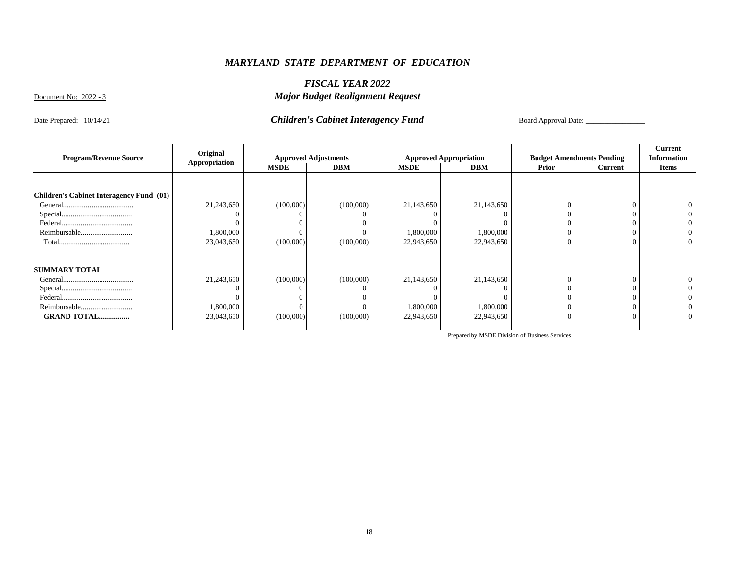### *FISCAL YEAR 2022 Major Budget Realignment Request*

Document No: 2022 - 3

Date Prepared: 10/14/21 *Children's Cabinet Interagency Fund* Board Approval Date: \_\_\_\_\_\_\_\_\_\_\_\_\_\_\_\_

|                                          | Original      |             |                             |             |                               |       |                                  | Current            |
|------------------------------------------|---------------|-------------|-----------------------------|-------------|-------------------------------|-------|----------------------------------|--------------------|
| <b>Program/Revenue Source</b>            | Appropriation |             | <b>Approved Adjustments</b> |             | <b>Approved Appropriation</b> |       | <b>Budget Amendments Pending</b> | <b>Information</b> |
|                                          |               | <b>MSDE</b> | <b>DBM</b>                  | <b>MSDE</b> | <b>DBM</b>                    | Prior | <b>Current</b>                   | <b>Items</b>       |
|                                          |               |             |                             |             |                               |       |                                  |                    |
|                                          |               |             |                             |             |                               |       |                                  |                    |
| Children's Cabinet Interagency Fund (01) |               |             |                             |             |                               |       |                                  |                    |
|                                          | 21,243,650    | (100,000)   | (100,000)                   | 21,143,650  | 21,143,650                    |       |                                  |                    |
|                                          |               |             |                             |             |                               |       |                                  |                    |
|                                          |               |             |                             |             |                               |       |                                  |                    |
| Reimbursable                             | 000,000,1     |             |                             | 1,800,000   | 1,800,000                     |       |                                  |                    |
|                                          | 23,043,650    | (100,000)   | (100,000)                   | 22,943,650  | 22,943,650                    |       | $\Omega$                         |                    |
|                                          |               |             |                             |             |                               |       |                                  |                    |
| <b>SUMMARY TOTAL</b>                     |               |             |                             |             |                               |       |                                  |                    |
|                                          | 21,243,650    | (100,000)   | (100,000)                   | 21,143,650  | 21,143,650                    |       |                                  |                    |
|                                          |               |             |                             |             |                               |       |                                  |                    |
|                                          |               |             |                             |             |                               |       |                                  |                    |
| Reimbursable                             | 1,800,000     |             |                             | 1,800,000   | 1,800,000                     |       |                                  |                    |
| <b>GRAND TOTAL</b>                       | 23,043,650    | (100,000)   | (100,000)                   | 22,943,650  | 22,943,650                    |       | $\Omega$                         |                    |
|                                          |               |             |                             |             |                               |       |                                  |                    |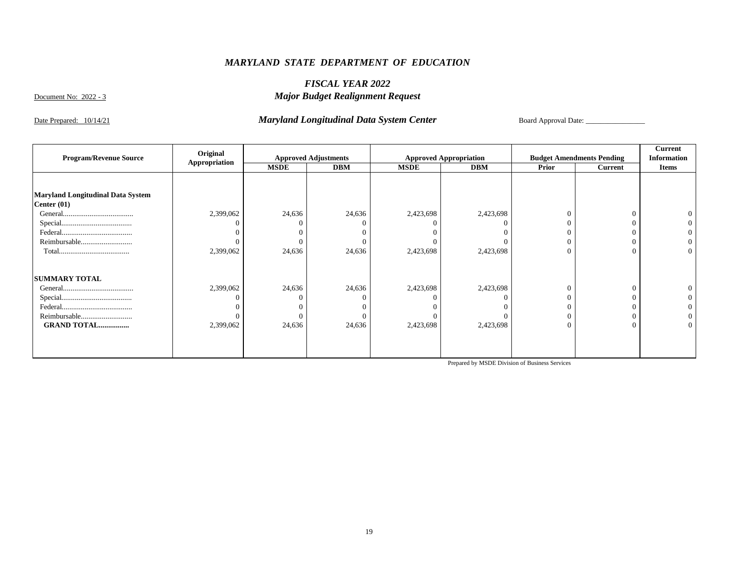### *FISCAL YEAR 2022 Major Budget Realignment Request*

Document No: 2022 - 3

#### Date Prepared: 10/14/21 *Maryland Longitudinal Data System Center*

Board Approval Date: \_\_\_\_\_\_\_\_\_\_\_\_\_\_\_\_

| <b>Program/Revenue Source</b>                             | Original      | <b>Approved Adjustments</b> |            | <b>Approved Appropriation</b> |            | <b>Budget Amendments Pending</b> |          | Current<br><b>Information</b> |
|-----------------------------------------------------------|---------------|-----------------------------|------------|-------------------------------|------------|----------------------------------|----------|-------------------------------|
|                                                           | Appropriation | <b>MSDE</b>                 | <b>DBM</b> | <b>MSDE</b>                   | <b>DBM</b> | Prior                            | Current  | <b>Items</b>                  |
|                                                           |               |                             |            |                               |            |                                  |          |                               |
| <b>Maryland Longitudinal Data System</b><br>Center $(01)$ |               |                             |            |                               |            |                                  |          |                               |
|                                                           | 2,399,062     | 24,636                      | 24,636     | 2,423,698                     | 2,423,698  | $\Omega$                         | $\Omega$ |                               |
|                                                           |               |                             |            |                               |            |                                  |          |                               |
|                                                           |               |                             |            |                               |            |                                  |          |                               |
| Reimbursable                                              |               |                             |            |                               |            |                                  | 0        |                               |
|                                                           | 2,399,062     | 24,636                      | 24,636     | 2,423,698                     | 2,423,698  | $\theta$                         | $\theta$ |                               |
| <b>SUMMARY TOTAL</b>                                      |               |                             |            |                               |            |                                  |          |                               |
|                                                           | 2,399,062     | 24,636                      | 24,636     | 2,423,698                     | 2,423,698  | $\Omega$                         | $\Omega$ |                               |
|                                                           |               |                             |            |                               |            | $\Omega$                         |          |                               |
|                                                           |               |                             |            |                               |            |                                  |          |                               |
| Reimbursable                                              |               |                             |            |                               |            | $\Omega$                         |          |                               |
| <b>GRAND TOTAL</b>                                        | 2,399,062     | 24,636                      | 24,636     | 2,423,698                     | 2,423,698  | $\theta$                         | $\Omega$ |                               |
|                                                           |               |                             |            |                               |            |                                  |          |                               |
|                                                           |               |                             |            |                               |            |                                  |          |                               |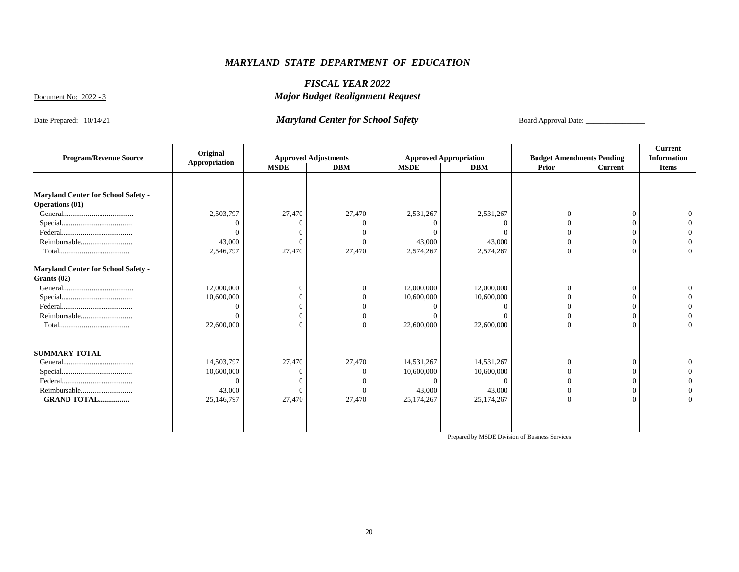### *FISCAL YEAR 2022 Major Budget Realignment Request*

Document No: 2022 - 3

### Date Prepared: 10/14/21 *Maryland Center for School Safety* Board Approval Date:

|                                            | Original      |             |                             |             |                               |          |                                  | Current            |
|--------------------------------------------|---------------|-------------|-----------------------------|-------------|-------------------------------|----------|----------------------------------|--------------------|
| <b>Program/Revenue Source</b>              | Appropriation |             | <b>Approved Adjustments</b> |             | <b>Approved Appropriation</b> |          | <b>Budget Amendments Pending</b> | <b>Information</b> |
|                                            |               | <b>MSDE</b> | <b>DBM</b>                  | <b>MSDE</b> | <b>DBM</b>                    | Prior    | <b>Current</b>                   | <b>Items</b>       |
|                                            |               |             |                             |             |                               |          |                                  |                    |
|                                            |               |             |                             |             |                               |          |                                  |                    |
| Maryland Center for School Safety -        |               |             |                             |             |                               |          |                                  |                    |
| <b>Operations (01)</b>                     |               |             |                             |             |                               |          |                                  |                    |
|                                            | 2,503,797     | 27,470      | 27,470                      | 2,531,267   | 2,531,267                     | $\Omega$ | $\Omega$                         |                    |
|                                            | $\Omega$      |             |                             |             |                               |          |                                  |                    |
|                                            | $\Omega$      |             |                             |             |                               |          |                                  |                    |
| Reimbursable                               | 43,000        |             | 0                           | 43,000      | 43,000                        |          |                                  |                    |
|                                            | 2,546,797     | 27,470      | 27,470                      | 2,574,267   | 2,574,267                     | $\Omega$ | $\Omega$                         |                    |
| <b>Maryland Center for School Safety -</b> |               |             |                             |             |                               |          |                                  |                    |
| Grants (02)                                |               |             |                             |             |                               |          |                                  |                    |
|                                            | 12,000,000    | $\Omega$    | 0                           | 12,000,000  | 12,000,000                    | $\Omega$ | $\Omega$                         |                    |
|                                            | 10,600,000    |             |                             | 10,600,000  | 10,600,000                    |          |                                  |                    |
|                                            | 0             |             |                             |             |                               |          |                                  |                    |
| Reimbursable                               | $\Omega$      | $\Omega$    |                             |             |                               | $\Omega$ |                                  |                    |
| ${\bf Total.} \label{thm:nonlin}$          | 22,600,000    | $\Omega$    |                             | 22,600,000  | 22,600,000                    | $\Omega$ | $\Omega$                         |                    |
| <b>SUMMARY TOTAL</b>                       |               |             |                             |             |                               |          |                                  |                    |
|                                            | 14,503,797    | 27,470      | 27,470                      | 14,531,267  | 14,531,267                    | $\Omega$ | $\Omega$                         |                    |
|                                            | 10,600,000    |             |                             | 10,600,000  | 10,600,000                    |          |                                  |                    |
|                                            | $\Omega$      |             |                             |             |                               |          |                                  |                    |
| Reimbursable                               | 43,000        |             |                             | 43,000      | 43,000                        | $\Omega$ |                                  |                    |
| <b>GRAND TOTAL</b>                         | 25,146,797    | 27,470      | 27,470                      | 25,174,267  | 25,174,267                    | $\Omega$ | $\Omega$                         |                    |
|                                            |               |             |                             |             |                               |          |                                  |                    |
|                                            |               |             |                             |             |                               |          |                                  |                    |
|                                            |               |             |                             |             |                               |          |                                  |                    |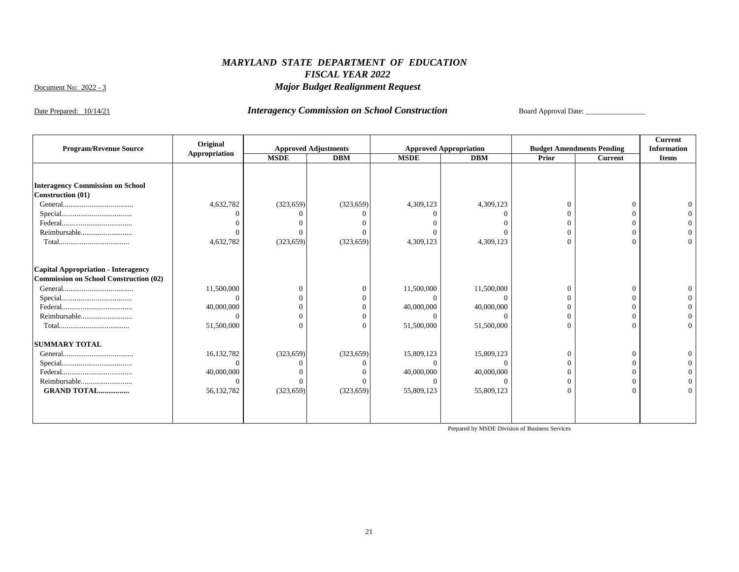### *MARYLAND STATE DEPARTMENT OF EDUCATION FISCAL YEAR 2022 Major Budget Realignment Request*

Document No: 2022 - 3

Date Prepared: 10/14/21 *Interagency Commission on School Construction* Board Approval Date: \_\_\_\_\_\_\_\_\_\_\_\_\_\_\_\_

|                                               | Original      |             |                             |             |                               |          |                                  | <b>Current</b>     |
|-----------------------------------------------|---------------|-------------|-----------------------------|-------------|-------------------------------|----------|----------------------------------|--------------------|
| <b>Program/Revenue Source</b>                 | Appropriation |             | <b>Approved Adjustments</b> |             | <b>Approved Appropriation</b> |          | <b>Budget Amendments Pending</b> | <b>Information</b> |
|                                               |               | <b>MSDE</b> | <b>DBM</b>                  | <b>MSDE</b> | <b>DBM</b>                    | Prior    | <b>Current</b>                   | <b>Items</b>       |
|                                               |               |             |                             |             |                               |          |                                  |                    |
|                                               |               |             |                             |             |                               |          |                                  |                    |
| <b>Interagency Commission on School</b>       |               |             |                             |             |                               |          |                                  |                    |
| <b>Construction (01)</b>                      |               |             |                             |             |                               |          |                                  |                    |
|                                               | 4,632,782     | (323, 659)  | (323, 659)                  | 4,309,123   | 4,309,123                     | $\Omega$ | $\sqrt{ }$                       |                    |
|                                               |               |             |                             |             |                               |          |                                  |                    |
|                                               |               |             |                             |             |                               |          |                                  |                    |
| Reimbursable                                  |               |             |                             |             |                               | 0        |                                  |                    |
|                                               | 4,632,782     | (323, 659)  | (323, 659)                  | 4,309,123   | 4,309,123                     | $\Omega$ | $\sqrt{ }$                       |                    |
|                                               |               |             |                             |             |                               |          |                                  |                    |
| Capital Appropriation - Interagency           |               |             |                             |             |                               |          |                                  |                    |
| <b>Commission on School Construction (02)</b> |               |             |                             |             |                               |          |                                  |                    |
|                                               | 11,500,000    |             |                             | 11,500,000  | 11,500,000                    | $\Omega$ | $\sqrt{ }$                       |                    |
|                                               |               |             |                             | $\Omega$    | 0                             |          |                                  |                    |
|                                               | 40,000,000    |             |                             | 40,000,000  | 40,000,000                    |          |                                  |                    |
| Reimbursable                                  |               |             |                             |             |                               | $\Omega$ |                                  |                    |
|                                               | 51,500,000    |             |                             | 51,500,000  | 51,500,000                    | $\Omega$ |                                  |                    |
| <b>SUMMARY TOTAL</b>                          |               |             |                             |             |                               |          |                                  |                    |
|                                               | 16, 132, 782  | (323, 659)  | (323, 659)                  | 15,809,123  | 15,809,123                    | $\Omega$ | $\sqrt{ }$                       |                    |
|                                               |               |             |                             |             |                               |          |                                  |                    |
|                                               | 40,000,000    |             |                             | 40,000,000  | 40,000,000                    |          |                                  |                    |
| Reimbursable                                  | $\Omega$      |             |                             |             | $\Omega$                      | $\Omega$ |                                  |                    |
| <b>GRAND TOTAL</b>                            | 56,132,782    | (323, 659)  | (323, 659)                  | 55,809,123  | 55,809,123                    | $\Omega$ |                                  |                    |
|                                               |               |             |                             |             |                               |          |                                  |                    |
|                                               |               |             |                             |             |                               |          |                                  |                    |
|                                               |               |             |                             |             |                               |          |                                  |                    |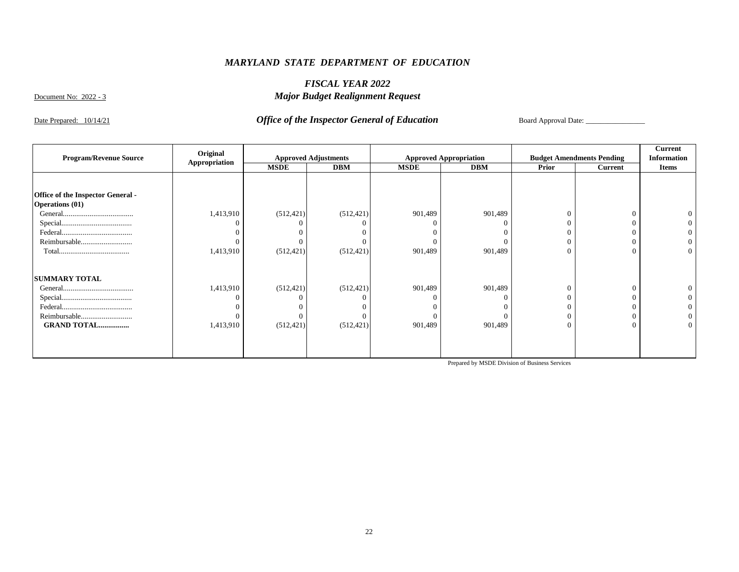### *FISCAL YEAR 2022 Major Budget Realignment Request*

Document No: 2022 - 3

### Date Prepared: 10/14/21 *Office of the Inspector General of Education* Board Approval Date:

|                                   | Original      |             |                             |             |                               |          |                                  | <b>Current</b>     |
|-----------------------------------|---------------|-------------|-----------------------------|-------------|-------------------------------|----------|----------------------------------|--------------------|
| <b>Program/Revenue Source</b>     | Appropriation |             | <b>Approved Adjustments</b> |             | <b>Approved Appropriation</b> |          | <b>Budget Amendments Pending</b> | <b>Information</b> |
|                                   |               | <b>MSDE</b> | <b>DBM</b>                  | <b>MSDE</b> | <b>DBM</b>                    | Prior    | Current                          | <b>Items</b>       |
|                                   |               |             |                             |             |                               |          |                                  |                    |
| Office of the Inspector General - |               |             |                             |             |                               |          |                                  |                    |
| <b>Operations (01)</b>            |               |             |                             |             |                               |          |                                  |                    |
|                                   | 1,413,910     | (512, 421)  | (512, 421)                  | 901,489     | 901,489                       | $\Omega$ | $\Omega$                         |                    |
|                                   |               |             |                             |             |                               |          |                                  |                    |
|                                   |               |             |                             |             |                               |          |                                  |                    |
| Reimbursable                      |               |             |                             |             |                               | $\Omega$ | $\Omega$                         |                    |
|                                   | 1,413,910     | (512, 421)  | (512, 421)                  | 901,489     | 901,489                       | $\theta$ | $\theta$                         |                    |
| <b>SUMMARY TOTAL</b>              |               |             |                             |             |                               |          |                                  |                    |
|                                   | 1,413,910     | (512, 421)  | (512, 421)                  | 901,489     | 901,489                       | $\Omega$ | $\Omega$                         |                    |
|                                   |               |             |                             |             |                               |          |                                  |                    |
|                                   |               |             |                             |             |                               |          |                                  |                    |
| Reimbursable                      |               |             |                             |             |                               | $\Omega$ | 0                                |                    |
| <b>GRAND TOTAL</b>                | 1,413,910     | (512, 421)  | (512, 421)                  | 901,489     | 901,489                       | $\Omega$ | $\Omega$                         |                    |
|                                   |               |             |                             |             |                               |          |                                  |                    |
|                                   |               |             |                             |             |                               |          |                                  |                    |
|                                   |               |             |                             |             |                               |          |                                  |                    |